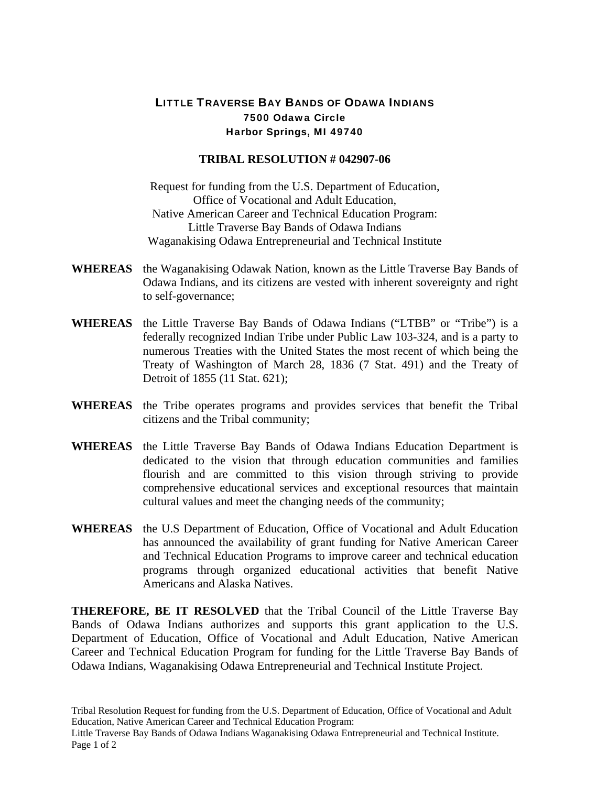## LITTLE TRAVERSE BAY BANDS OF ODAWA INDIANS 7500 Odawa Circle Harbor Springs, MI 49740

## **TRIBAL RESOLUTION # 042907-06**

Request for funding from the U.S. Department of Education, Office of Vocational and Adult Education, Native American Career and Technical Education Program: Little Traverse Bay Bands of Odawa Indians Waganakising Odawa Entrepreneurial and Technical Institute

- **WHEREAS** the Waganakising Odawak Nation, known as the Little Traverse Bay Bands of Odawa Indians, and its citizens are vested with inherent sovereignty and right to self-governance;
- **WHEREAS** the Little Traverse Bay Bands of Odawa Indians ("LTBB" or "Tribe") is a federally recognized Indian Tribe under Public Law 103-324, and is a party to numerous Treaties with the United States the most recent of which being the Treaty of Washington of March 28, 1836 (7 Stat. 491) and the Treaty of Detroit of 1855 (11 Stat. 621);
- **WHEREAS** the Tribe operates programs and provides services that benefit the Tribal citizens and the Tribal community;
- **WHEREAS** the Little Traverse Bay Bands of Odawa Indians Education Department is dedicated to the vision that through education communities and families flourish and are committed to this vision through striving to provide comprehensive educational services and exceptional resources that maintain cultural values and meet the changing needs of the community;
- **WHEREAS** the U.S Department of Education, Office of Vocational and Adult Education has announced the availability of grant funding for Native American Career and Technical Education Programs to improve career and technical education programs through organized educational activities that benefit Native Americans and Alaska Natives.

**THEREFORE, BE IT RESOLVED** that the Tribal Council of the Little Traverse Bay Bands of Odawa Indians authorizes and supports this grant application to the U.S. Department of Education, Office of Vocational and Adult Education, Native American Career and Technical Education Program for funding for the Little Traverse Bay Bands of Odawa Indians, Waganakising Odawa Entrepreneurial and Technical Institute Project.

Tribal Resolution Request for funding from the U.S. Department of Education, Office of Vocational and Adult Education, Native American Career and Technical Education Program: Little Traverse Bay Bands of Odawa Indians Waganakising Odawa Entrepreneurial and Technical Institute. Page 1 of 2